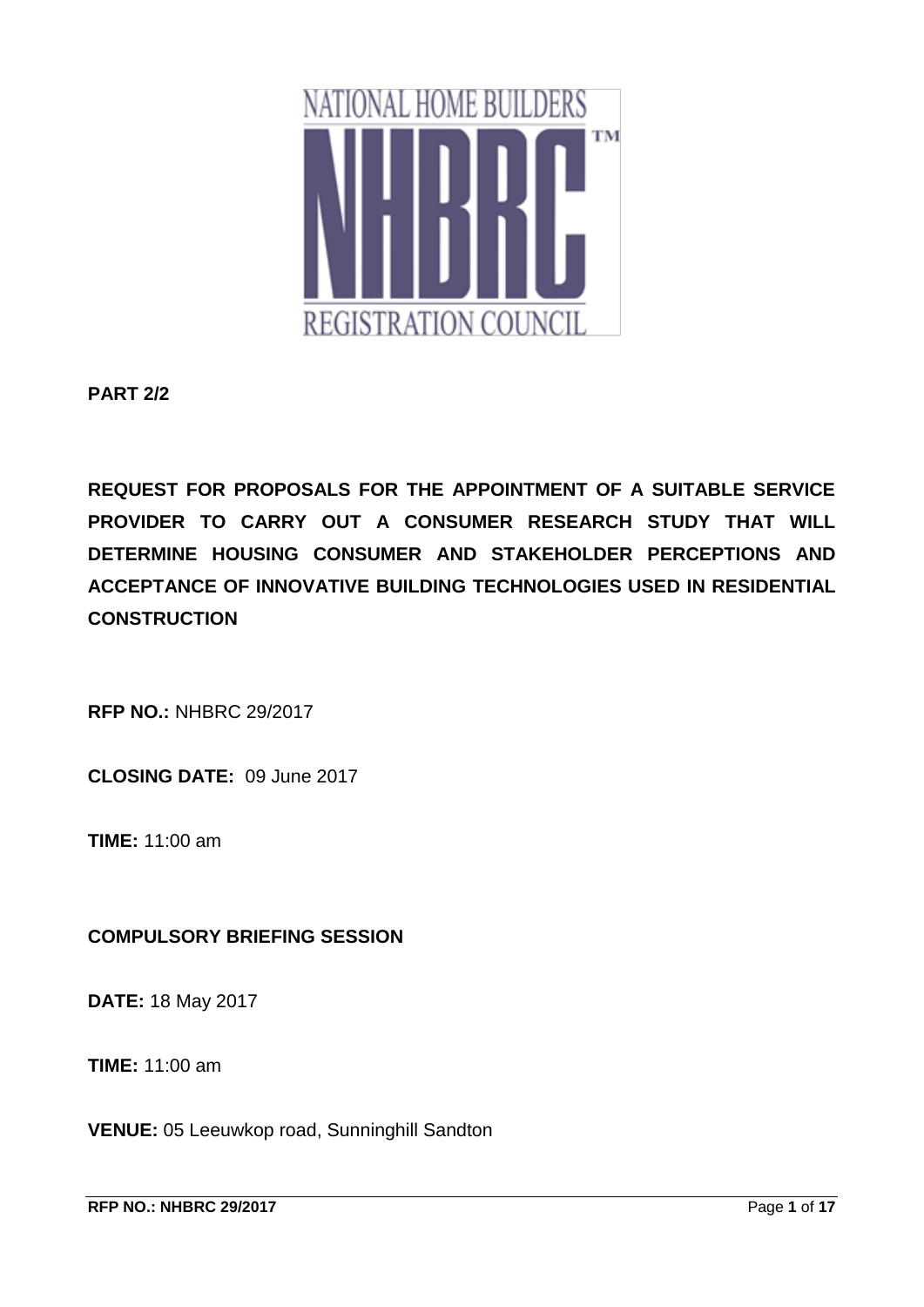

**PART 2/2**

**REQUEST FOR PROPOSALS FOR THE APPOINTMENT OF A SUITABLE SERVICE PROVIDER TO CARRY OUT A CONSUMER RESEARCH STUDY THAT WILL DETERMINE HOUSING CONSUMER AND STAKEHOLDER PERCEPTIONS AND ACCEPTANCE OF INNOVATIVE BUILDING TECHNOLOGIES USED IN RESIDENTIAL CONSTRUCTION**

**RFP NO.:** NHBRC 29/2017

**CLOSING DATE:** 09 June 2017

**TIME:** 11:00 am

## **COMPULSORY BRIEFING SESSION**

**DATE:** 18 May 2017

**TIME:** 11:00 am

**VENUE:** 05 Leeuwkop road, Sunninghill Sandton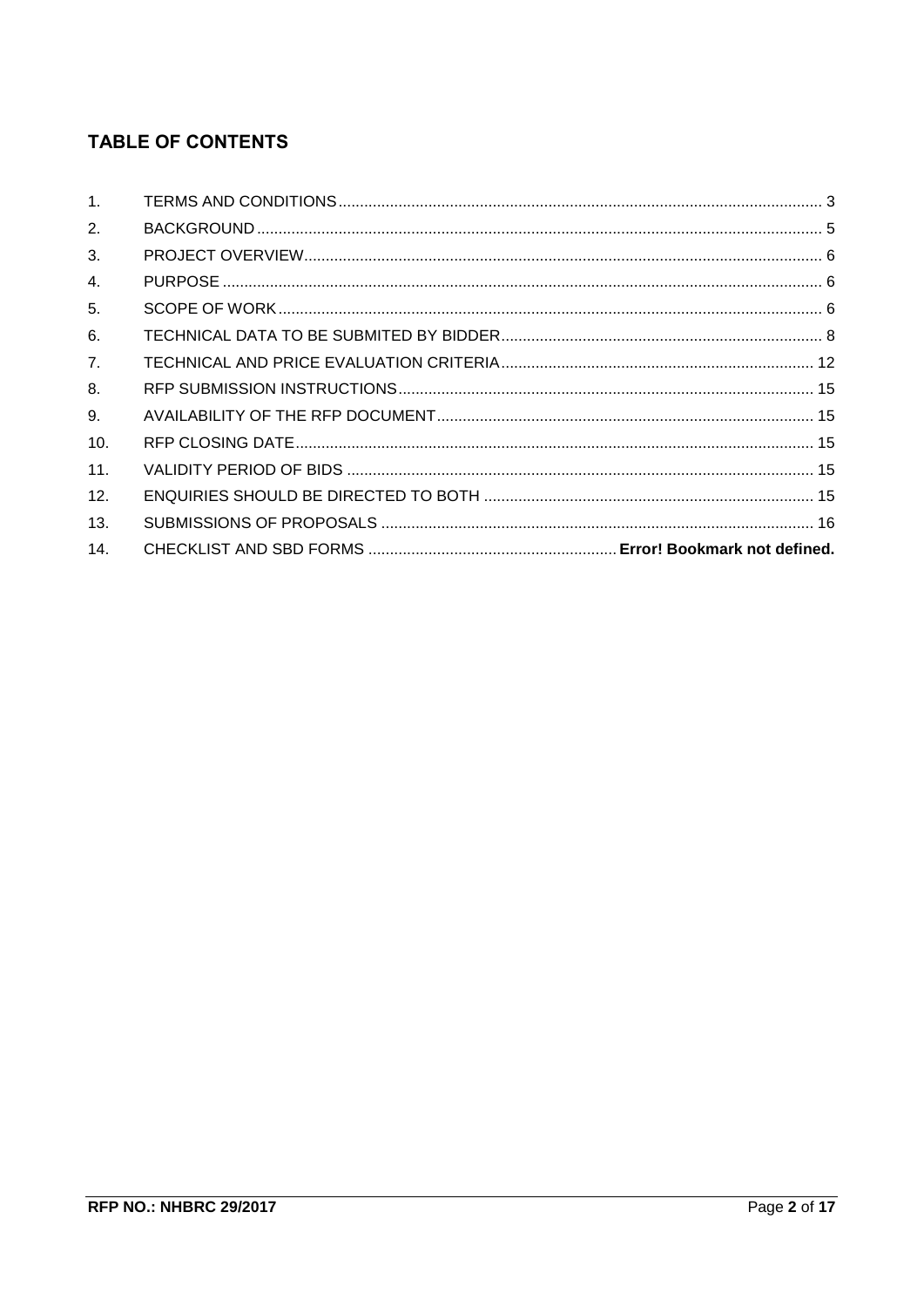# **TABLE OF CONTENTS**

| 1 <sup>1</sup> |  |
|----------------|--|
| 2.             |  |
| 3.             |  |
| 4.             |  |
| 5.             |  |
| 6.             |  |
| 7.             |  |
| 8.             |  |
| 9.             |  |
| 10.            |  |
| 11.            |  |
| 12.            |  |
| 13.            |  |
| 14.            |  |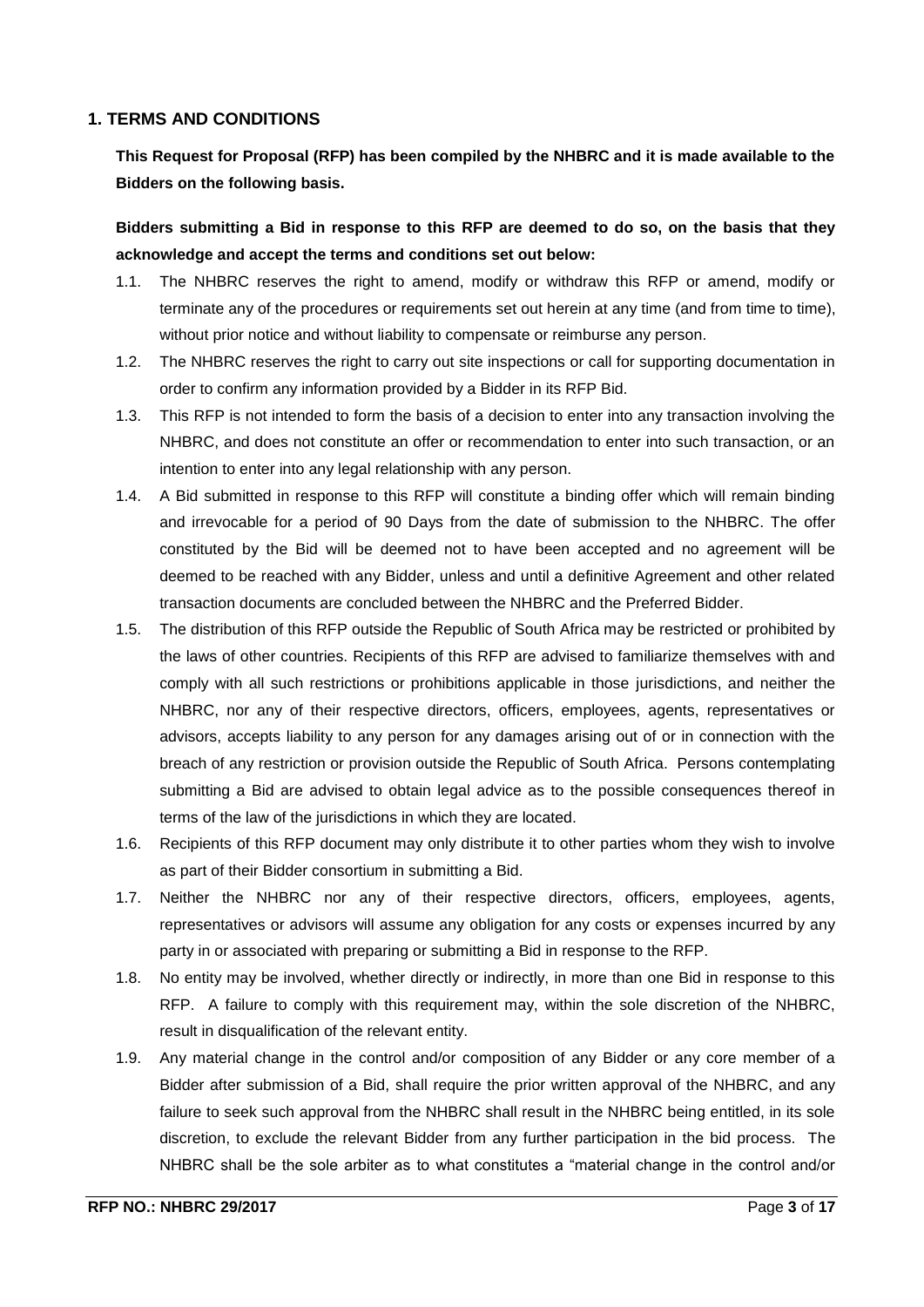#### <span id="page-2-0"></span>**1. TERMS AND CONDITIONS**

**This Request for Proposal (RFP) has been compiled by the NHBRC and it is made available to the Bidders on the following basis.**

**Bidders submitting a Bid in response to this RFP are deemed to do so, on the basis that they acknowledge and accept the terms and conditions set out below:**

- 1.1. The NHBRC reserves the right to amend, modify or withdraw this RFP or amend, modify or terminate any of the procedures or requirements set out herein at any time (and from time to time), without prior notice and without liability to compensate or reimburse any person.
- 1.2. The NHBRC reserves the right to carry out site inspections or call for supporting documentation in order to confirm any information provided by a Bidder in its RFP Bid.
- 1.3. This RFP is not intended to form the basis of a decision to enter into any transaction involving the NHBRC, and does not constitute an offer or recommendation to enter into such transaction, or an intention to enter into any legal relationship with any person.
- 1.4. A Bid submitted in response to this RFP will constitute a binding offer which will remain binding and irrevocable for a period of 90 Days from the date of submission to the NHBRC. The offer constituted by the Bid will be deemed not to have been accepted and no agreement will be deemed to be reached with any Bidder, unless and until a definitive Agreement and other related transaction documents are concluded between the NHBRC and the Preferred Bidder.
- 1.5. The distribution of this RFP outside the Republic of South Africa may be restricted or prohibited by the laws of other countries. Recipients of this RFP are advised to familiarize themselves with and comply with all such restrictions or prohibitions applicable in those jurisdictions, and neither the NHBRC, nor any of their respective directors, officers, employees, agents, representatives or advisors, accepts liability to any person for any damages arising out of or in connection with the breach of any restriction or provision outside the Republic of South Africa. Persons contemplating submitting a Bid are advised to obtain legal advice as to the possible consequences thereof in terms of the law of the jurisdictions in which they are located.
- 1.6. Recipients of this RFP document may only distribute it to other parties whom they wish to involve as part of their Bidder consortium in submitting a Bid.
- 1.7. Neither the NHBRC nor any of their respective directors, officers, employees, agents, representatives or advisors will assume any obligation for any costs or expenses incurred by any party in or associated with preparing or submitting a Bid in response to the RFP.
- 1.8. No entity may be involved, whether directly or indirectly, in more than one Bid in response to this RFP. A failure to comply with this requirement may, within the sole discretion of the NHBRC, result in disqualification of the relevant entity.
- 1.9. Any material change in the control and/or composition of any Bidder or any core member of a Bidder after submission of a Bid, shall require the prior written approval of the NHBRC, and any failure to seek such approval from the NHBRC shall result in the NHBRC being entitled, in its sole discretion, to exclude the relevant Bidder from any further participation in the bid process. The NHBRC shall be the sole arbiter as to what constitutes a "material change in the control and/or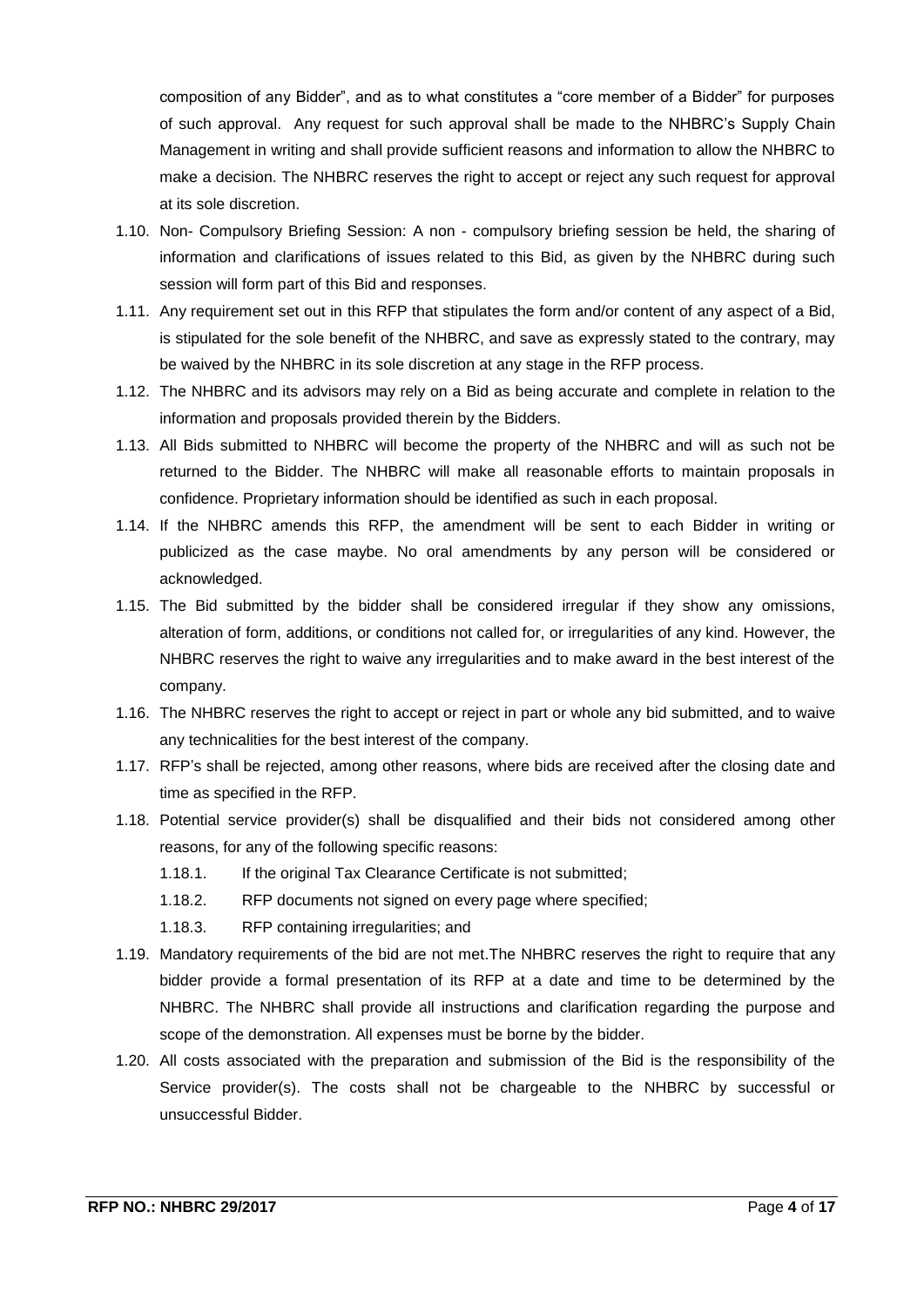composition of any Bidder", and as to what constitutes a "core member of a Bidder" for purposes of such approval. Any request for such approval shall be made to the NHBRC's Supply Chain Management in writing and shall provide sufficient reasons and information to allow the NHBRC to make a decision. The NHBRC reserves the right to accept or reject any such request for approval at its sole discretion.

- 1.10. Non- Compulsory Briefing Session: A non compulsory briefing session be held, the sharing of information and clarifications of issues related to this Bid, as given by the NHBRC during such session will form part of this Bid and responses.
- 1.11. Any requirement set out in this RFP that stipulates the form and/or content of any aspect of a Bid, is stipulated for the sole benefit of the NHBRC, and save as expressly stated to the contrary, may be waived by the NHBRC in its sole discretion at any stage in the RFP process.
- 1.12. The NHBRC and its advisors may rely on a Bid as being accurate and complete in relation to the information and proposals provided therein by the Bidders.
- 1.13. All Bids submitted to NHBRC will become the property of the NHBRC and will as such not be returned to the Bidder. The NHBRC will make all reasonable efforts to maintain proposals in confidence. Proprietary information should be identified as such in each proposal.
- 1.14. If the NHBRC amends this RFP, the amendment will be sent to each Bidder in writing or publicized as the case maybe. No oral amendments by any person will be considered or acknowledged.
- 1.15. The Bid submitted by the bidder shall be considered irregular if they show any omissions, alteration of form, additions, or conditions not called for, or irregularities of any kind. However, the NHBRC reserves the right to waive any irregularities and to make award in the best interest of the company.
- 1.16. The NHBRC reserves the right to accept or reject in part or whole any bid submitted, and to waive any technicalities for the best interest of the company.
- 1.17. RFP's shall be rejected, among other reasons, where bids are received after the closing date and time as specified in the RFP.
- 1.18. Potential service provider(s) shall be disqualified and their bids not considered among other reasons, for any of the following specific reasons:
	- 1.18.1. If the original Tax Clearance Certificate is not submitted;
	- 1.18.2. RFP documents not signed on every page where specified;
	- 1.18.3. RFP containing irregularities; and
- 1.19. Mandatory requirements of the bid are not met.The NHBRC reserves the right to require that any bidder provide a formal presentation of its RFP at a date and time to be determined by the NHBRC. The NHBRC shall provide all instructions and clarification regarding the purpose and scope of the demonstration. All expenses must be borne by the bidder.
- 1.20. All costs associated with the preparation and submission of the Bid is the responsibility of the Service provider(s). The costs shall not be chargeable to the NHBRC by successful or unsuccessful Bidder.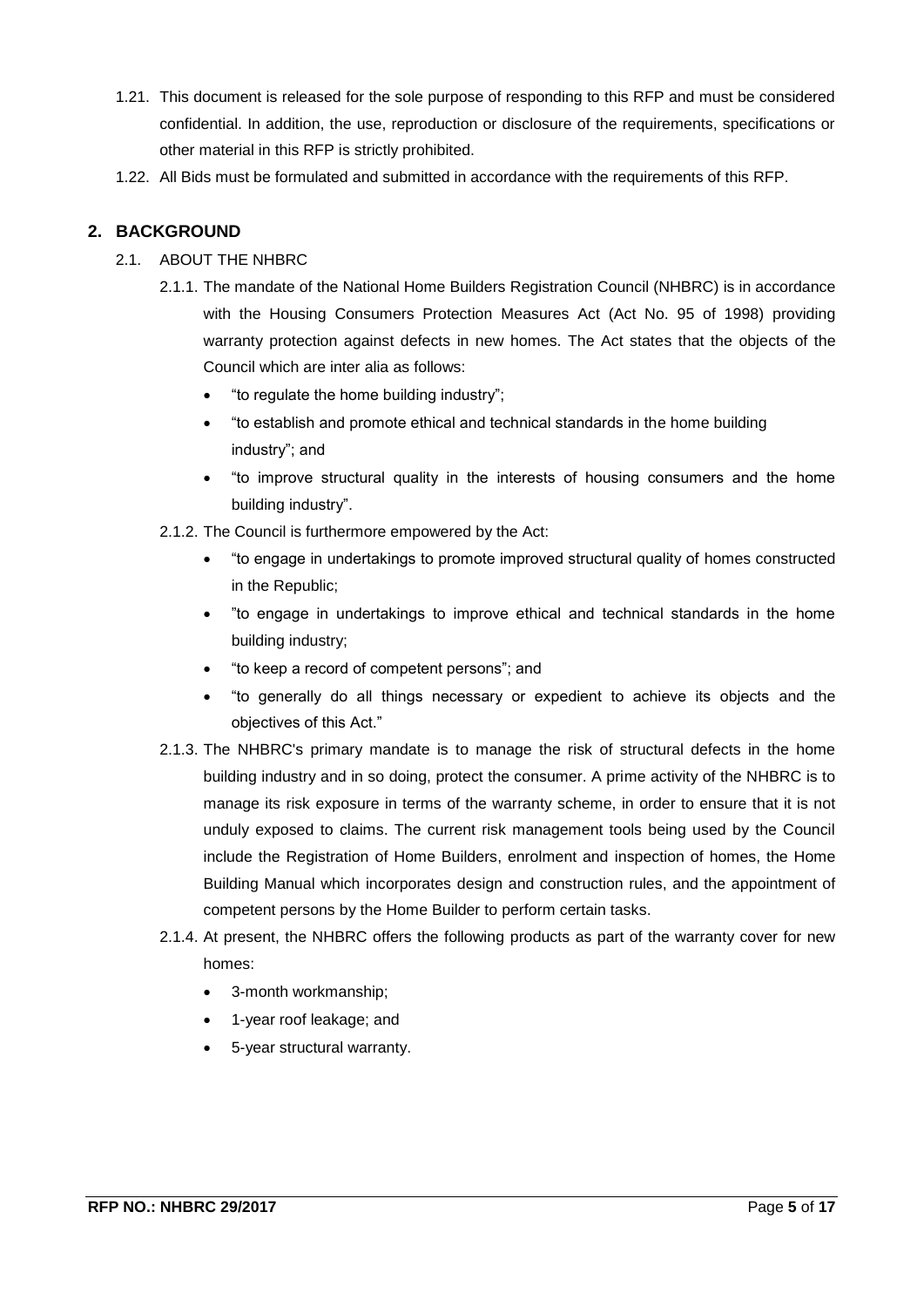- 1.21. This document is released for the sole purpose of responding to this RFP and must be considered confidential. In addition, the use, reproduction or disclosure of the requirements, specifications or other material in this RFP is strictly prohibited.
- 1.22. All Bids must be formulated and submitted in accordance with the requirements of this RFP.

## <span id="page-4-0"></span>**2. BACKGROUND**

## 2.1. ABOUT THE NHBRC

- 2.1.1. The mandate of the National Home Builders Registration Council (NHBRC) is in accordance with the Housing Consumers Protection Measures Act (Act No. 95 of 1998) providing warranty protection against defects in new homes. The Act states that the objects of the Council which are inter alia as follows:
	- "to regulate the home building industry";
	- "to establish and promote ethical and technical standards in the home building industry"; and
	- "to improve structural quality in the interests of housing consumers and the home building industry".
- 2.1.2. The Council is furthermore empowered by the Act:
	- "to engage in undertakings to promote improved structural quality of homes constructed in the Republic;
	- "to engage in undertakings to improve ethical and technical standards in the home building industry;
	- "to keep a record of competent persons"; and
	- "to generally do all things necessary or expedient to achieve its objects and the objectives of this Act."
- 2.1.3. The NHBRC's primary mandate is to manage the risk of structural defects in the home building industry and in so doing, protect the consumer. A prime activity of the NHBRC is to manage its risk exposure in terms of the warranty scheme, in order to ensure that it is not unduly exposed to claims. The current risk management tools being used by the Council include the Registration of Home Builders, enrolment and inspection of homes, the Home Building Manual which incorporates design and construction rules, and the appointment of competent persons by the Home Builder to perform certain tasks.
- 2.1.4. At present, the NHBRC offers the following products as part of the warranty cover for new homes:
	- 3-month workmanship;
	- 1-year roof leakage; and
	- 5-year structural warranty.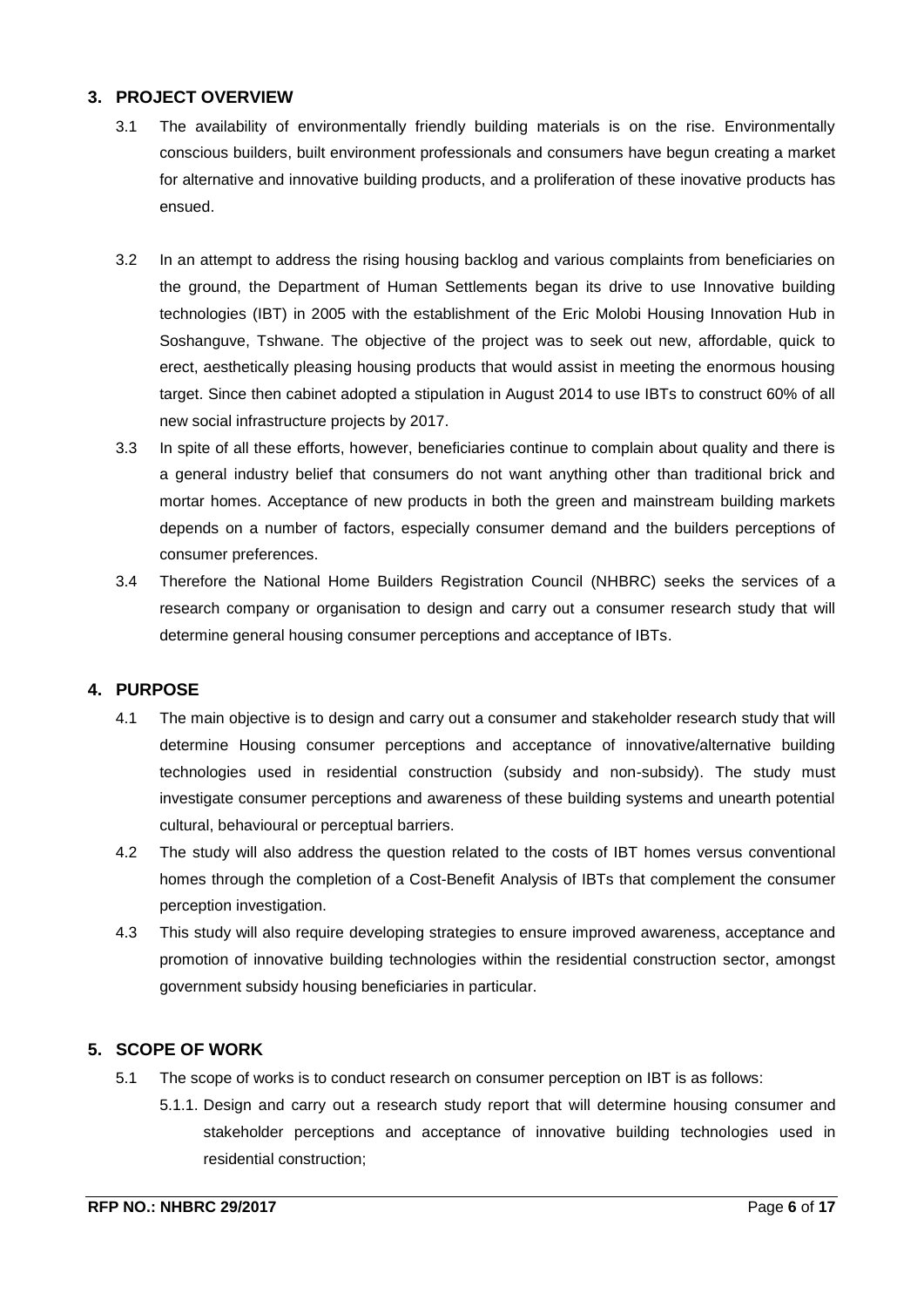## <span id="page-5-0"></span>**3. PROJECT OVERVIEW**

- 3.1 The availability of environmentally friendly building materials is on the rise. Environmentally conscious builders, built environment professionals and consumers have begun creating a market for alternative and innovative building products, and a proliferation of these inovative products has ensued.
- 3.2 In an attempt to address the rising housing backlog and various complaints from beneficiaries on the ground, the Department of Human Settlements began its drive to use Innovative building technologies (IBT) in 2005 with the establishment of the Eric Molobi Housing Innovation Hub in Soshanguve, Tshwane. The objective of the project was to seek out new, affordable, quick to erect, aesthetically pleasing housing products that would assist in meeting the enormous housing target. Since then cabinet adopted a stipulation in August 2014 to use IBTs to construct 60% of all new social infrastructure projects by 2017.
- 3.3 In spite of all these efforts, however, beneficiaries continue to complain about quality and there is a general industry belief that consumers do not want anything other than traditional brick and mortar homes. Acceptance of new products in both the green and mainstream building markets depends on a number of factors, especially consumer demand and the builders perceptions of consumer preferences.
- 3.4 Therefore the National Home Builders Registration Council (NHBRC) seeks the services of a research company or organisation to design and carry out a consumer research study that will determine general housing consumer perceptions and acceptance of IBTs.

## <span id="page-5-1"></span>**4. PURPOSE**

- 4.1 The main objective is to design and carry out a consumer and stakeholder research study that will determine Housing consumer perceptions and acceptance of innovative/alternative building technologies used in residential construction (subsidy and non-subsidy). The study must investigate consumer perceptions and awareness of these building systems and unearth potential cultural, behavioural or perceptual barriers.
- 4.2 The study will also address the question related to the costs of IBT homes versus conventional homes through the completion of a Cost-Benefit Analysis of IBTs that complement the consumer perception investigation.
- 4.3 This study will also require developing strategies to ensure improved awareness, acceptance and promotion of innovative building technologies within the residential construction sector, amongst government subsidy housing beneficiaries in particular.

#### <span id="page-5-2"></span>**5. SCOPE OF WORK**

- 5.1 The scope of works is to conduct research on consumer perception on IBT is as follows:
	- 5.1.1. Design and carry out a research study report that will determine housing consumer and stakeholder perceptions and acceptance of innovative building technologies used in residential construction;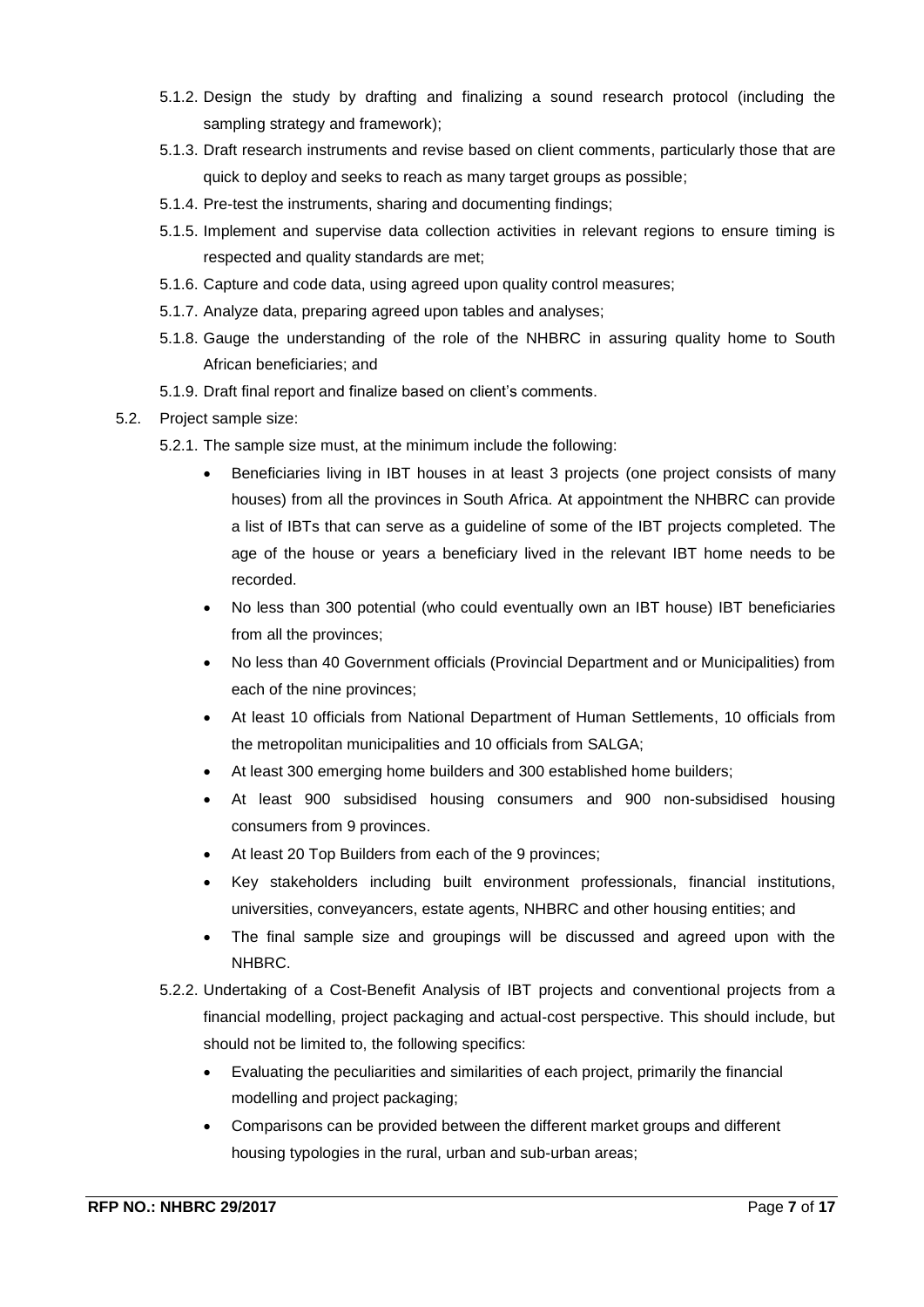- 5.1.2. Design the study by drafting and finalizing a sound research protocol (including the sampling strategy and framework);
- 5.1.3. Draft research instruments and revise based on client comments, particularly those that are quick to deploy and seeks to reach as many target groups as possible;
- 5.1.4. Pre-test the instruments, sharing and documenting findings;
- 5.1.5. Implement and supervise data collection activities in relevant regions to ensure timing is respected and quality standards are met;
- 5.1.6. Capture and code data, using agreed upon quality control measures;
- 5.1.7. Analyze data, preparing agreed upon tables and analyses;
- 5.1.8. Gauge the understanding of the role of the NHBRC in assuring quality home to South African beneficiaries; and
- 5.1.9. Draft final report and finalize based on client's comments.
- 5.2. Project sample size:
	- 5.2.1. The sample size must, at the minimum include the following:
		- Beneficiaries living in IBT houses in at least 3 projects (one project consists of many houses) from all the provinces in South Africa. At appointment the NHBRC can provide a list of IBTs that can serve as a guideline of some of the IBT projects completed. The age of the house or years a beneficiary lived in the relevant IBT home needs to be recorded.
		- No less than 300 potential (who could eventually own an IBT house) IBT beneficiaries from all the provinces;
		- No less than 40 Government officials (Provincial Department and or Municipalities) from each of the nine provinces;
		- At least 10 officials from National Department of Human Settlements, 10 officials from the metropolitan municipalities and 10 officials from SALGA;
		- At least 300 emerging home builders and 300 established home builders;
		- At least 900 subsidised housing consumers and 900 non-subsidised housing consumers from 9 provinces.
		- At least 20 Top Builders from each of the 9 provinces;
		- Key stakeholders including built environment professionals, financial institutions, universities, conveyancers, estate agents, NHBRC and other housing entities; and
		- The final sample size and groupings will be discussed and agreed upon with the NHBRC.
	- 5.2.2. Undertaking of a Cost-Benefit Analysis of IBT projects and conventional projects from a financial modelling, project packaging and actual-cost perspective. This should include, but should not be limited to, the following specifics:
		- Evaluating the peculiarities and similarities of each project, primarily the financial modelling and project packaging;
		- Comparisons can be provided between the different market groups and different housing typologies in the rural, urban and sub-urban areas;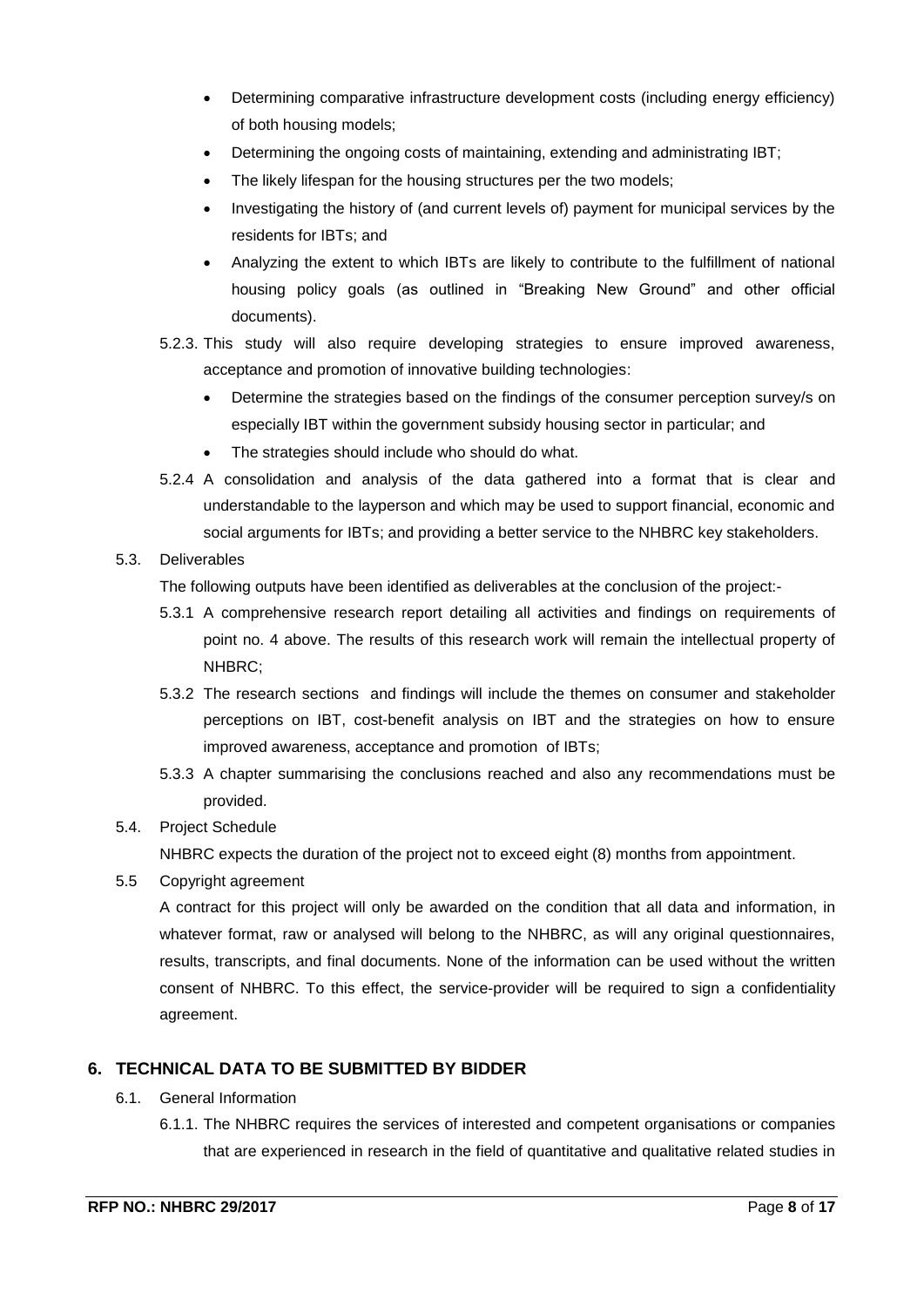- Determining comparative infrastructure development costs (including energy efficiency) of both housing models;
- Determining the ongoing costs of maintaining, extending and administrating IBT;
- The likely lifespan for the housing structures per the two models;
- Investigating the history of (and current levels of) payment for municipal services by the residents for IBTs; and
- Analyzing the extent to which IBTs are likely to contribute to the fulfillment of national housing policy goals (as outlined in "Breaking New Ground" and other official documents).
- 5.2.3. This study will also require developing strategies to ensure improved awareness, acceptance and promotion of innovative building technologies:
	- Determine the strategies based on the findings of the consumer perception survey/s on especially IBT within the government subsidy housing sector in particular; and
	- The strategies should include who should do what.
- 5.2.4 A consolidation and analysis of the data gathered into a format that is clear and understandable to the layperson and which may be used to support financial, economic and social arguments for IBTs; and providing a better service to the NHBRC key stakeholders.

#### 5.3. Deliverables

The following outputs have been identified as deliverables at the conclusion of the project:-

- 5.3.1 A comprehensive research report detailing all activities and findings on requirements of point no. 4 above. The results of this research work will remain the intellectual property of NHBRC;
- 5.3.2 The research sections and findings will include the themes on consumer and stakeholder perceptions on IBT, cost-benefit analysis on IBT and the strategies on how to ensure improved awareness, acceptance and promotion of IBTs;
- 5.3.3 A chapter summarising the conclusions reached and also any recommendations must be provided.

## 5.4. Project Schedule

NHBRC expects the duration of the project not to exceed eight (8) months from appointment.

5.5 Copyright agreement

A contract for this project will only be awarded on the condition that all data and information, in whatever format, raw or analysed will belong to the NHBRC, as will any original questionnaires, results, transcripts, and final documents. None of the information can be used without the written consent of NHBRC. To this effect, the service-provider will be required to sign a confidentiality agreement.

## <span id="page-7-0"></span>**6. TECHNICAL DATA TO BE SUBMITTED BY BIDDER**

- 6.1. General Information
	- 6.1.1. The NHBRC requires the services of interested and competent organisations or companies that are experienced in research in the field of quantitative and qualitative related studies in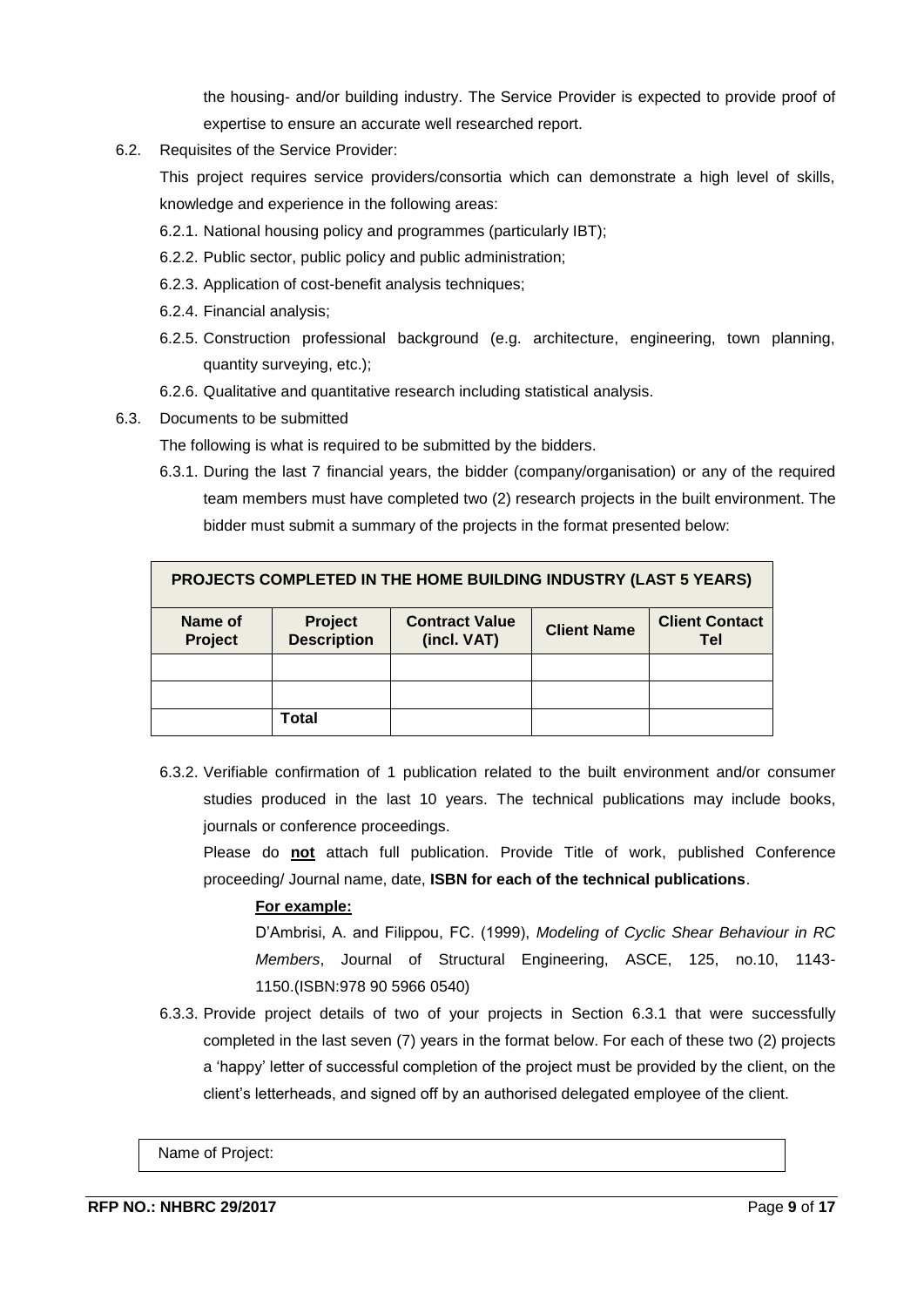the housing- and/or building industry. The Service Provider is expected to provide proof of expertise to ensure an accurate well researched report.

6.2. Requisites of the Service Provider:

This project requires service providers/consortia which can demonstrate a high level of skills, knowledge and experience in the following areas:

- 6.2.1. National housing policy and programmes (particularly IBT);
- 6.2.2. Public sector, public policy and public administration;
- 6.2.3. Application of cost-benefit analysis techniques;
- 6.2.4. Financial analysis;
- 6.2.5. Construction professional background (e.g. architecture, engineering, town planning, quantity surveying, etc.);
- 6.2.6. Qualitative and quantitative research including statistical analysis.
- 6.3. Documents to be submitted

The following is what is required to be submitted by the bidders.

6.3.1. During the last 7 financial years, the bidder (company/organisation) or any of the required team members must have completed two (2) research projects in the built environment. The bidder must submit a summary of the projects in the format presented below:

| <b>PROJECTS COMPLETED IN THE HOME BUILDING INDUSTRY (LAST 5 YEARS)</b>                                                                            |       |  |  |  |  |
|---------------------------------------------------------------------------------------------------------------------------------------------------|-------|--|--|--|--|
| <b>Client Contact</b><br>Name of<br>Project<br><b>Contract Value</b><br><b>Client Name</b><br><b>Description</b><br>Project<br>(incl. VAT)<br>Tel |       |  |  |  |  |
|                                                                                                                                                   |       |  |  |  |  |
|                                                                                                                                                   |       |  |  |  |  |
|                                                                                                                                                   | Total |  |  |  |  |

6.3.2. Verifiable confirmation of 1 publication related to the built environment and/or consumer studies produced in the last 10 years. The technical publications may include books, journals or conference proceedings.

Please do **not** attach full publication. Provide Title of work, published Conference proceeding/ Journal name, date, **ISBN for each of the technical publications**.

## **For example:**

D'Ambrisi, A. and Filippou, FC. (1999), *Modeling of Cyclic Shear Behaviour in RC Members*, Journal of Structural Engineering, ASCE, 125, no.10, 1143- 1150.(ISBN:978 90 5966 0540)

6.3.3. Provide project details of two of your projects in Section 6.3.1 that were successfully completed in the last seven (7) years in the format below. For each of these two (2) projects a 'happy' letter of successful completion of the project must be provided by the client, on the client's letterheads, and signed off by an authorised delegated employee of the client.

Name of Project: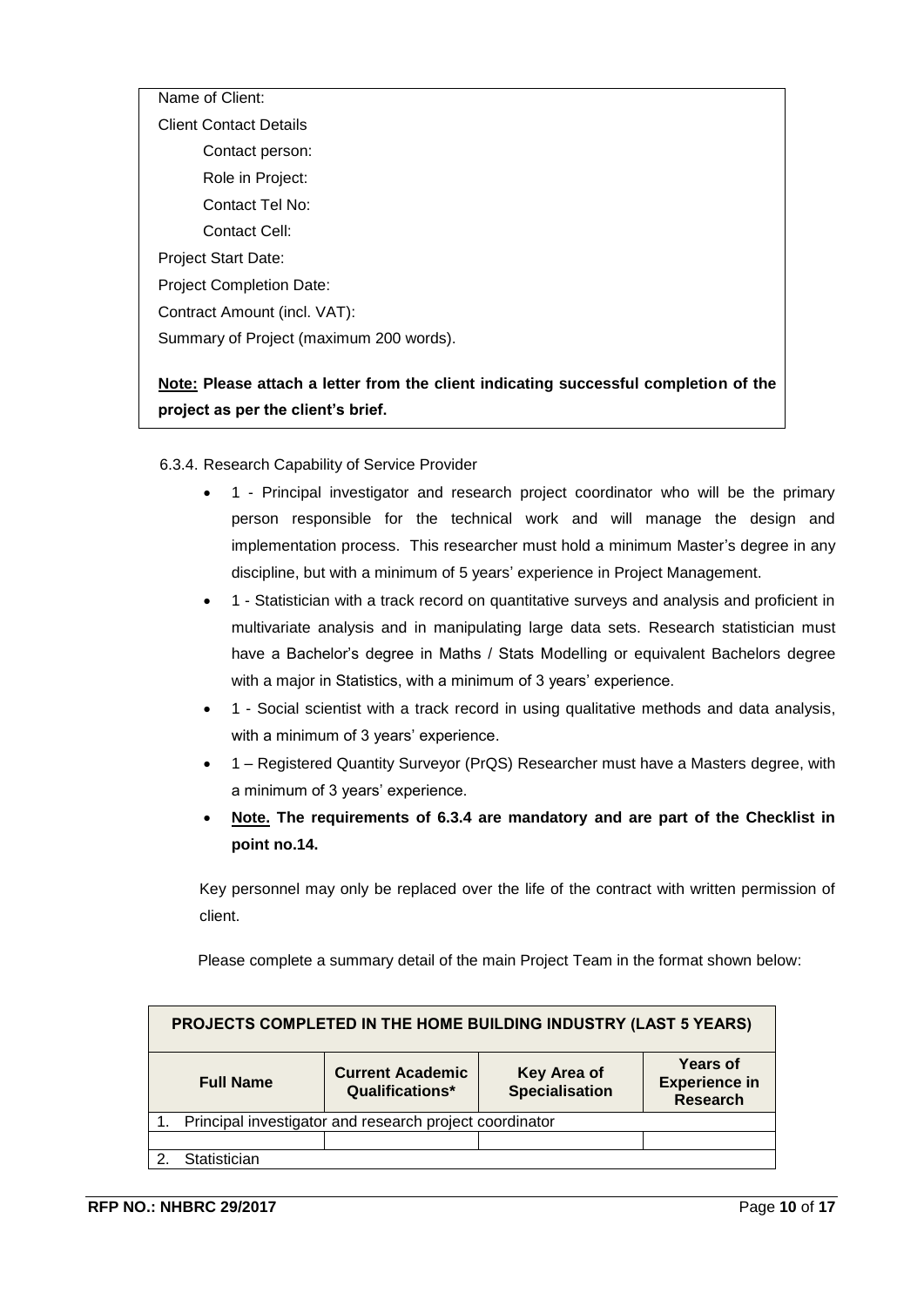Name of Client: Client Contact Details Contact person: Role in Project: Contact Tel No: Contact Cell: Project Start Date: Project Completion Date: Contract Amount (incl. VAT): Summary of Project (maximum 200 words).

## **Note: Please attach a letter from the client indicating successful completion of the project as per the client's brief.**

6.3.4. Research Capability of Service Provider

- 1 Principal investigator and research project coordinator who will be the primary person responsible for the technical work and will manage the design and implementation process. This researcher must hold a minimum Master's degree in any discipline, but with a minimum of 5 years' experience in Project Management.
- 1 Statistician with a track record on quantitative surveys and analysis and proficient in multivariate analysis and in manipulating large data sets. Research statistician must have a Bachelor's degree in Maths / Stats Modelling or equivalent Bachelors degree with a major in Statistics, with a minimum of 3 years' experience.
- 1 Social scientist with a track record in using qualitative methods and data analysis, with a minimum of 3 years' experience.
- 1 Registered Quantity Surveyor (PrQS) Researcher must have a Masters degree, with a minimum of 3 years' experience.
- **Note. The requirements of 6.3.4 are mandatory and are part of the Checklist in point no.14.**

Key personnel may only be replaced over the life of the contract with written permission of client.

Please complete a summary detail of the main Project Team in the format shown below:

| PROJECTS COMPLETED IN THE HOME BUILDING INDUSTRY (LAST 5 YEARS) |                                            |                               |                                                     |  |  |
|-----------------------------------------------------------------|--------------------------------------------|-------------------------------|-----------------------------------------------------|--|--|
| <b>Full Name</b>                                                | <b>Current Academic</b><br>Qualifications* | Key Area of<br>Specialisation | <b>Years of</b><br><b>Experience in</b><br>Research |  |  |
| 1. Principal investigator and research project coordinator      |                                            |                               |                                                     |  |  |
|                                                                 |                                            |                               |                                                     |  |  |
| Statistician                                                    |                                            |                               |                                                     |  |  |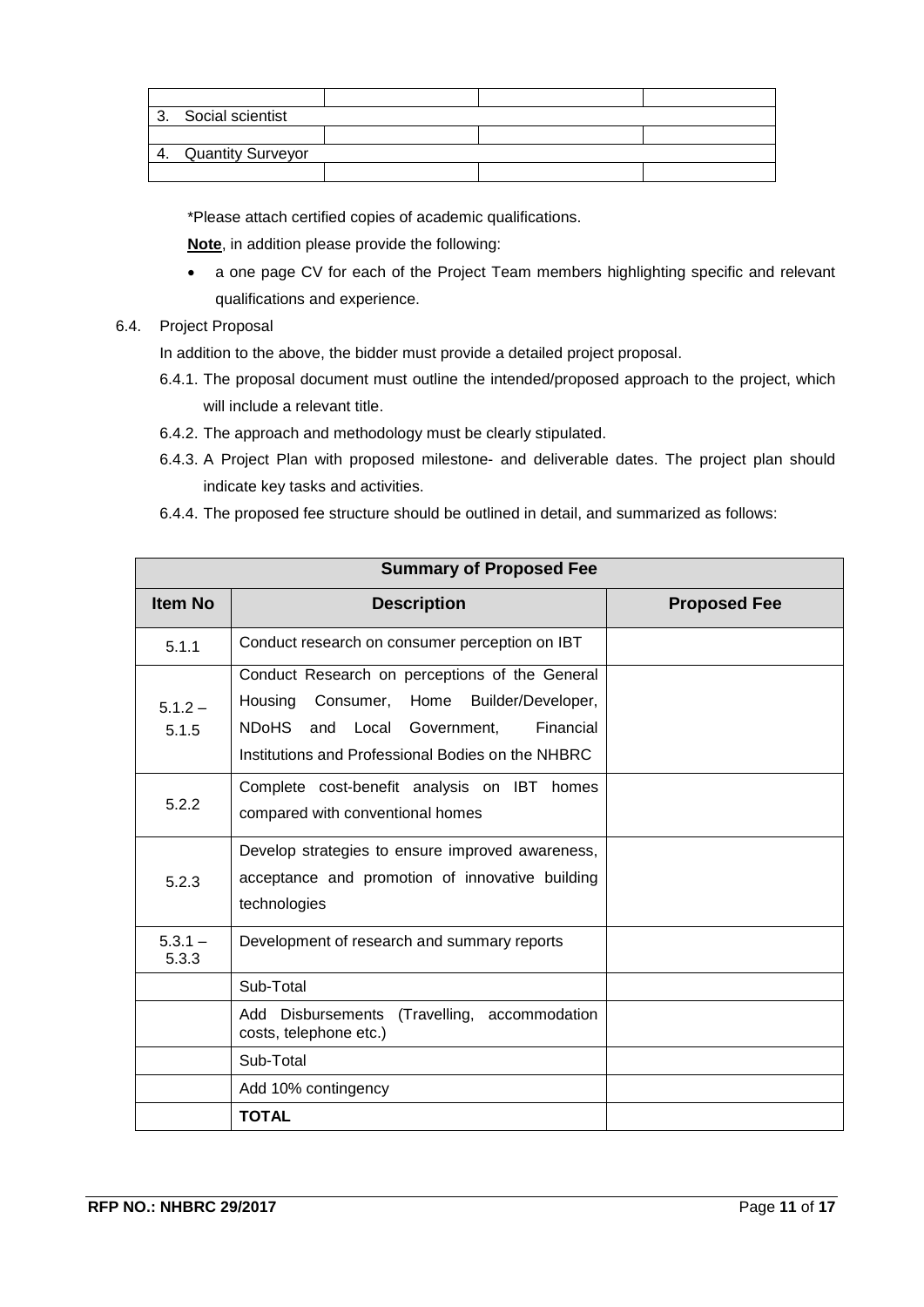|    | 3. Social scientist      |  |  |
|----|--------------------------|--|--|
|    |                          |  |  |
| 4. | <b>Quantity Surveyor</b> |  |  |
|    |                          |  |  |

\*Please attach certified copies of academic qualifications.

**Note**, in addition please provide the following:

 a one page CV for each of the Project Team members highlighting specific and relevant qualifications and experience.

#### 6.4. Project Proposal

In addition to the above, the bidder must provide a detailed project proposal.

- 6.4.1. The proposal document must outline the intended/proposed approach to the project, which will include a relevant title.
- 6.4.2. The approach and methodology must be clearly stipulated.
- 6.4.3. A Project Plan with proposed milestone- and deliverable dates. The project plan should indicate key tasks and activities.
- 6.4.4. The proposed fee structure should be outlined in detail, and summarized as follows:

| <b>Summary of Proposed Fee</b> |                                                                                                                                                                                              |                     |  |  |  |
|--------------------------------|----------------------------------------------------------------------------------------------------------------------------------------------------------------------------------------------|---------------------|--|--|--|
| <b>Item No</b>                 | <b>Description</b>                                                                                                                                                                           | <b>Proposed Fee</b> |  |  |  |
| 5.1.1                          | Conduct research on consumer perception on IBT                                                                                                                                               |                     |  |  |  |
| $5.1.2 -$<br>5.1.5             | Conduct Research on perceptions of the General<br>Housing Consumer, Home Builder/Developer,<br>NDoHS and Local Government,<br>Financial<br>Institutions and Professional Bodies on the NHBRC |                     |  |  |  |
| 5.2.2                          | Complete cost-benefit analysis on IBT homes<br>compared with conventional homes                                                                                                              |                     |  |  |  |
| 5.2.3                          | Develop strategies to ensure improved awareness,<br>acceptance and promotion of innovative building<br>technologies                                                                          |                     |  |  |  |
| $5.3.1 -$<br>5.3.3             | Development of research and summary reports                                                                                                                                                  |                     |  |  |  |
|                                | Sub-Total                                                                                                                                                                                    |                     |  |  |  |
|                                | (Travelling, accommodation<br>Add Disbursements<br>costs, telephone etc.)                                                                                                                    |                     |  |  |  |
|                                | Sub-Total                                                                                                                                                                                    |                     |  |  |  |
|                                | Add 10% contingency                                                                                                                                                                          |                     |  |  |  |
|                                | <b>TOTAL</b>                                                                                                                                                                                 |                     |  |  |  |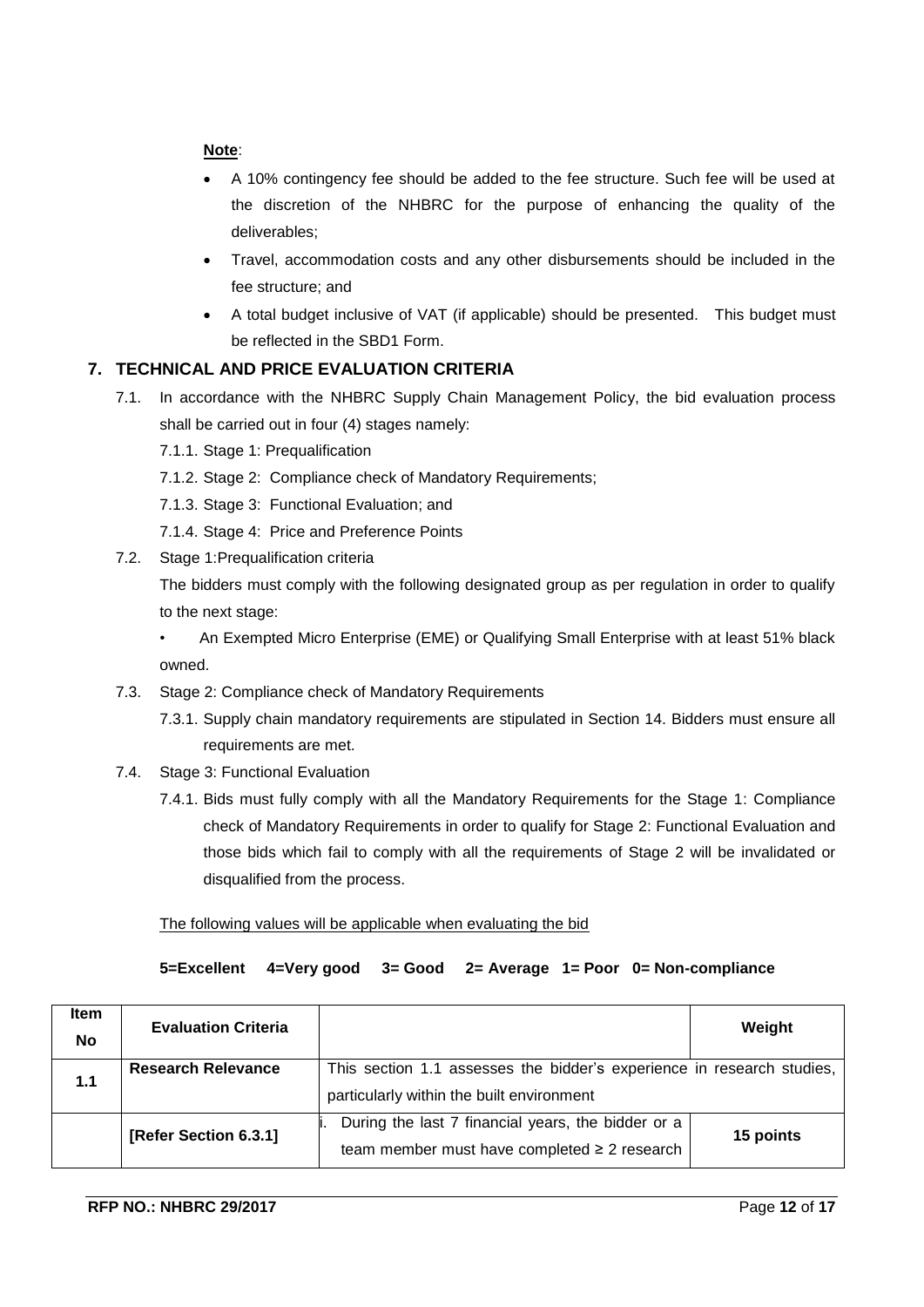#### **Note**:

- A 10% contingency fee should be added to the fee structure. Such fee will be used at the discretion of the NHBRC for the purpose of enhancing the quality of the deliverables;
- Travel, accommodation costs and any other disbursements should be included in the fee structure; and
- A total budget inclusive of VAT (if applicable) should be presented. This budget must be reflected in the SBD1 Form.

## <span id="page-11-0"></span>**7. TECHNICAL AND PRICE EVALUATION CRITERIA**

- 7.1. In accordance with the NHBRC Supply Chain Management Policy, the bid evaluation process shall be carried out in four (4) stages namely:
	- 7.1.1. Stage 1: Prequalification
	- 7.1.2. Stage 2: Compliance check of Mandatory Requirements;
	- 7.1.3. Stage 3: Functional Evaluation; and
	- 7.1.4. Stage 4: Price and Preference Points
- 7.2. Stage 1:Prequalification criteria

The bidders must comply with the following designated group as per regulation in order to qualify to the next stage:

- An Exempted Micro Enterprise (EME) or Qualifying Small Enterprise with at least 51% black owned.
- 7.3. Stage 2: Compliance check of Mandatory Requirements
	- 7.3.1. Supply chain mandatory requirements are stipulated in Section 14. Bidders must ensure all requirements are met.
- 7.4. Stage 3: Functional Evaluation
	- 7.4.1. Bids must fully comply with all the Mandatory Requirements for the Stage 1: Compliance check of Mandatory Requirements in order to qualify for Stage 2: Functional Evaluation and those bids which fail to comply with all the requirements of Stage 2 will be invalidated or disqualified from the process.

The following values will be applicable when evaluating the bid

#### **5=Excellent 4=Very good 3= Good 2= Average 1= Poor 0= Non-compliance**

| Item<br><b>No</b> | <b>Evaluation Criteria</b> |                                                                                                                     | Weight    |
|-------------------|----------------------------|---------------------------------------------------------------------------------------------------------------------|-----------|
| 1.1               | <b>Research Relevance</b>  | This section 1.1 assesses the bidder's experience in research studies,<br>particularly within the built environment |           |
|                   | [Refer Section 6.3.1]      | During the last 7 financial years, the bidder or a<br>team member must have completed $\geq 2$ research             | 15 points |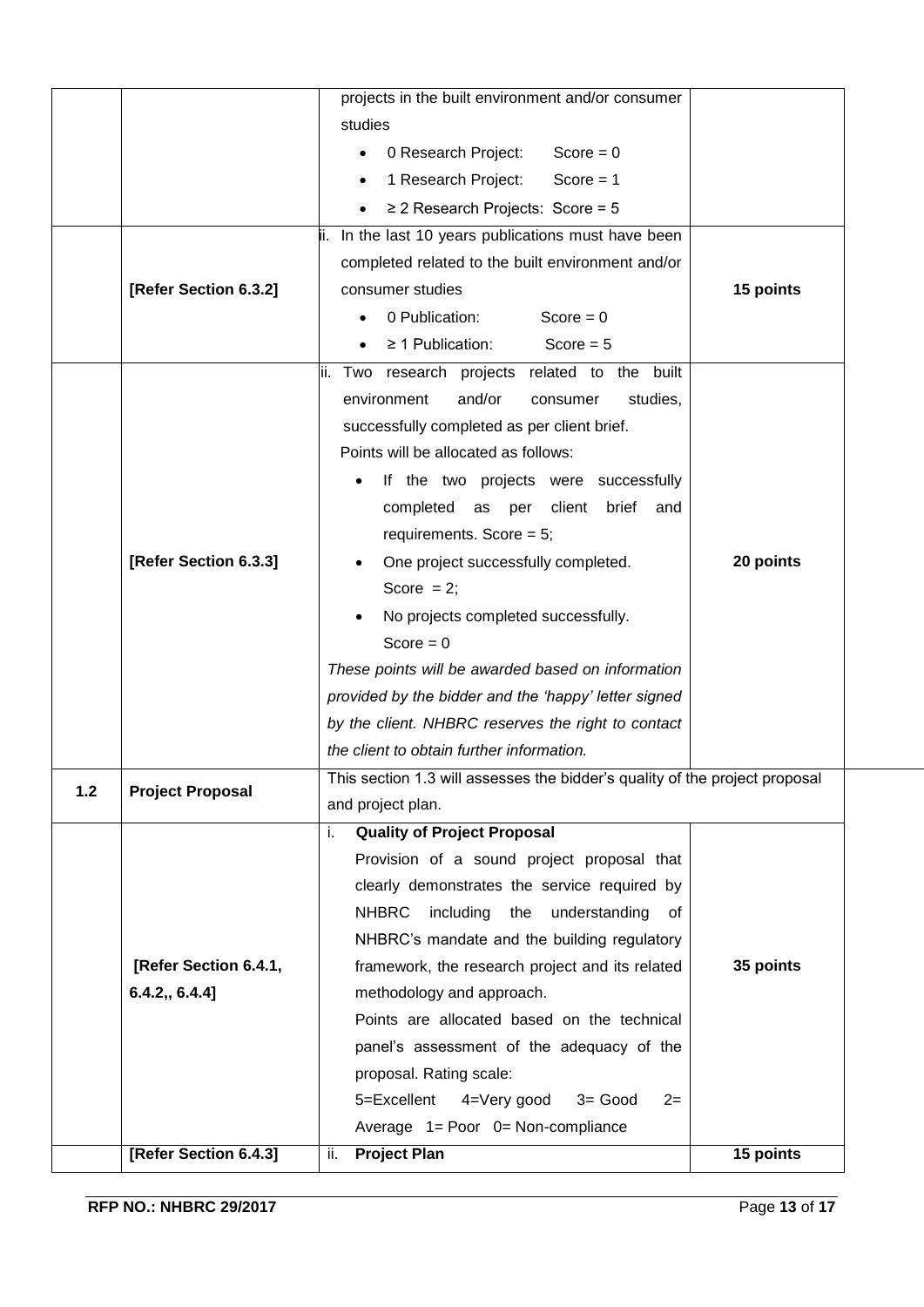|       | [Refer Section 6.4.3]   | <b>Project Plan</b><br>ii.                                                                                               | 15 points |
|-------|-------------------------|--------------------------------------------------------------------------------------------------------------------------|-----------|
|       |                         | Average 1= Poor 0= Non-compliance                                                                                        |           |
|       |                         | 5=Excellent<br>4=Very good<br>$3 = Good$<br>$2=$                                                                         |           |
|       |                         | proposal. Rating scale:                                                                                                  |           |
|       |                         | panel's assessment of the adequacy of the                                                                                |           |
|       |                         | Points are allocated based on the technical                                                                              |           |
|       | 6.4.2, 6.4.4            | methodology and approach.                                                                                                |           |
|       | [Refer Section 6.4.1,   | framework, the research project and its related                                                                          | 35 points |
|       |                         | NHBRC's mandate and the building regulatory                                                                              |           |
|       |                         | <b>NHBRC</b><br>including<br>the<br>understanding<br>0f                                                                  |           |
|       |                         | clearly demonstrates the service required by                                                                             |           |
|       |                         | Provision of a sound project proposal that                                                                               |           |
|       |                         | <b>Quality of Project Proposal</b><br>İ.                                                                                 |           |
| $1.2$ | <b>Project Proposal</b> | and project plan.                                                                                                        |           |
|       |                         | the client to obtain further information.<br>This section 1.3 will assesses the bidder's quality of the project proposal |           |
|       |                         | by the client. NHBRC reserves the right to contact                                                                       |           |
|       |                         | provided by the bidder and the 'happy' letter signed                                                                     |           |
|       |                         | These points will be awarded based on information                                                                        |           |
|       |                         | Score = $0$                                                                                                              |           |
|       |                         | No projects completed successfully.                                                                                      |           |
|       |                         | Score $= 2$ ;                                                                                                            |           |
|       | [Refer Section 6.3.3]   | One project successfully completed.                                                                                      | 20 points |
|       |                         | requirements. Score = $5$ ;                                                                                              |           |
|       |                         | completed as per client<br>brief and                                                                                     |           |
|       |                         | If the two projects were successfully                                                                                    |           |
|       |                         | Points will be allocated as follows:                                                                                     |           |
|       |                         | successfully completed as per client brief.                                                                              |           |
|       |                         | environment<br>and/or<br>studies,<br>consumer                                                                            |           |
|       |                         | $\geq$ 1 Publication:<br>Score $= 5$<br>Two research projects related to the built<br>II.                                |           |
|       |                         | $Score = 0$<br>0 Publication:                                                                                            |           |
|       | [Refer Section 6.3.2]   | consumer studies                                                                                                         | 15 points |
|       |                         | completed related to the built environment and/or                                                                        |           |
|       |                         | ii. In the last 10 years publications must have been                                                                     |           |
|       |                         | $\geq$ 2 Research Projects: Score = 5                                                                                    |           |
|       |                         | 1 Research Project:<br>$Score = 1$                                                                                       |           |
|       |                         | 0 Research Project:<br>$Score = 0$                                                                                       |           |
|       |                         | studies                                                                                                                  |           |
|       |                         |                                                                                                                          |           |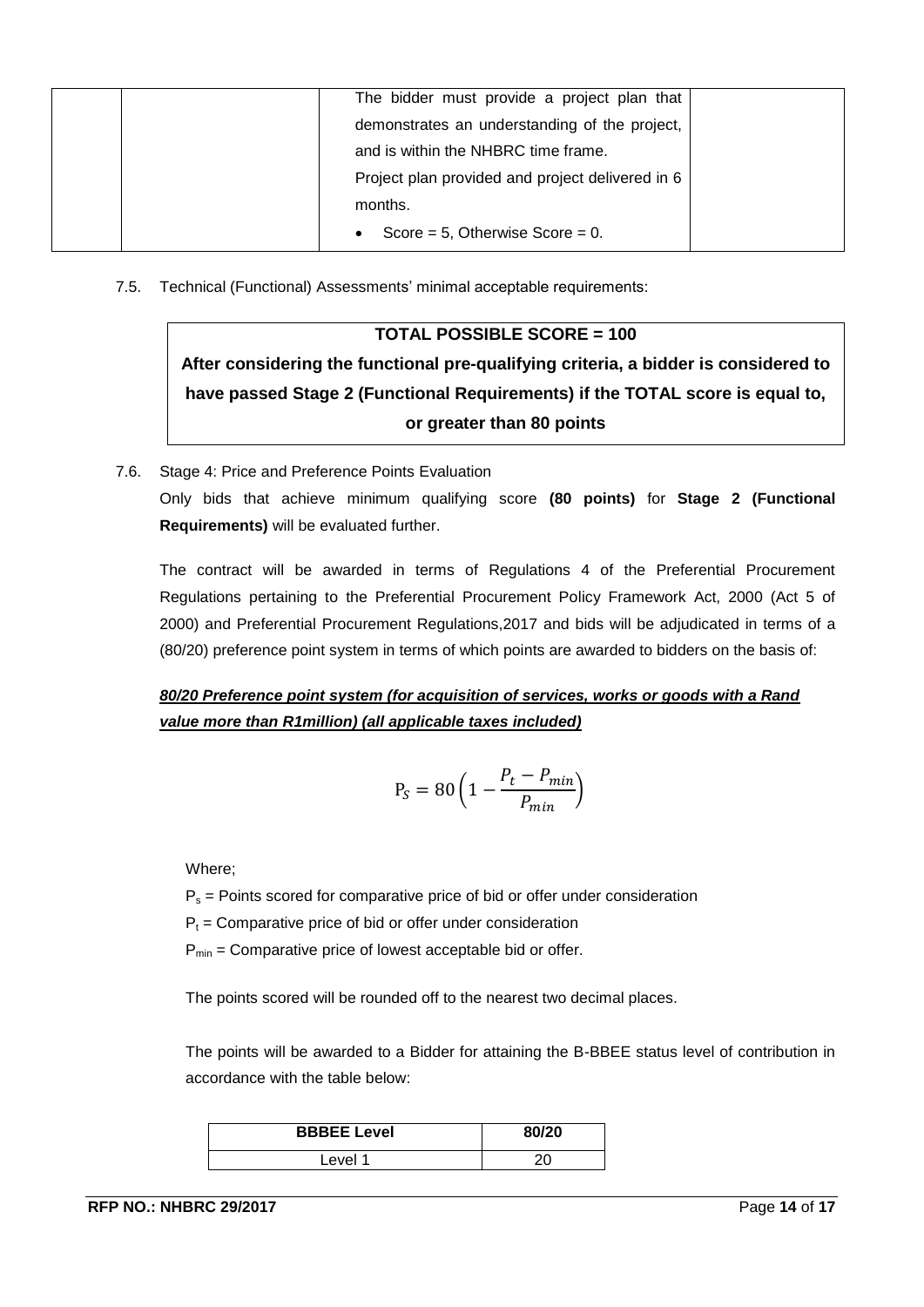| The bidder must provide a project plan that      |
|--------------------------------------------------|
| demonstrates an understanding of the project,    |
| and is within the NHBRC time frame.              |
| Project plan provided and project delivered in 6 |
| months.                                          |
| Score = $5$ , Otherwise Score = $0$ .            |

7.5. Technical (Functional) Assessments' minimal acceptable requirements:

## **TOTAL POSSIBLE SCORE = 100**

**After considering the functional pre-qualifying criteria, a bidder is considered to have passed Stage 2 (Functional Requirements) if the TOTAL score is equal to, or greater than 80 points** 

7.6. Stage 4: Price and Preference Points Evaluation Only bids that achieve minimum qualifying score **(80 points)** for **Stage 2 (Functional Requirements)** will be evaluated further.

The contract will be awarded in terms of Regulations 4 of the Preferential Procurement Regulations pertaining to the Preferential Procurement Policy Framework Act, 2000 (Act 5 of 2000) and Preferential Procurement Regulations,2017 and bids will be adjudicated in terms of a (80/20) preference point system in terms of which points are awarded to bidders on the basis of:

*80/20 Preference point system (for acquisition of services, works or goods with a Rand value more than R1million) (all applicable taxes included)*

$$
P_S = 80 \left( 1 - \frac{P_t - P_{min}}{P_{min}} \right)
$$

Where;

 $P_s$  = Points scored for comparative price of bid or offer under consideration

 $P_t$  = Comparative price of bid or offer under consideration

 $P_{min}$  = Comparative price of lowest acceptable bid or offer.

The points scored will be rounded off to the nearest two decimal places.

The points will be awarded to a Bidder for attaining the B-BBEE status level of contribution in accordance with the table below:

| <b>BBBEE Level</b> | 80/20 |
|--------------------|-------|
| _evel 1            |       |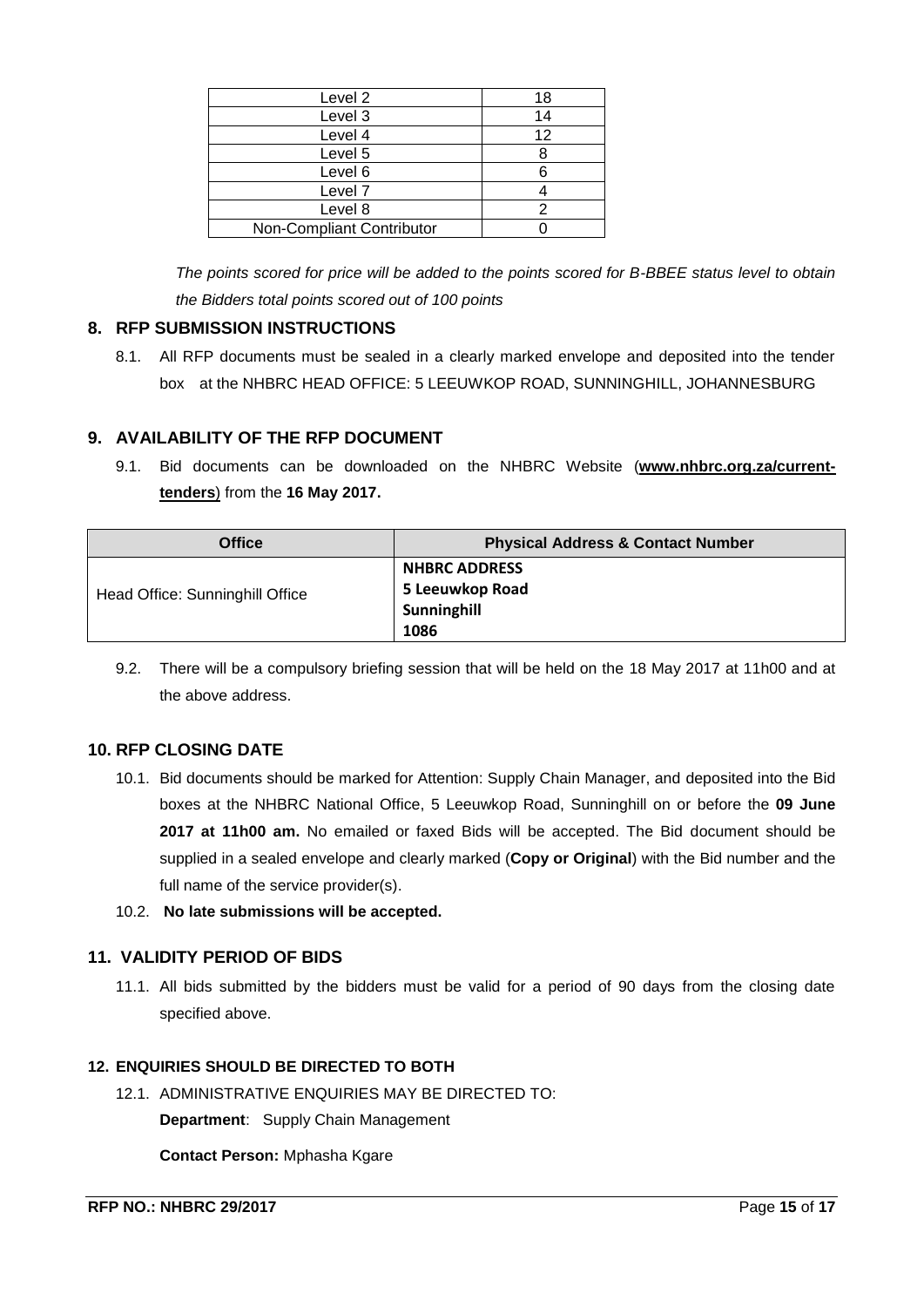| 18 |
|----|
| 14 |
| 12 |
|    |
|    |
|    |
|    |
|    |
|    |

*The points scored for price will be added to the points scored for B-BBEE status level to obtain the Bidders total points scored out of 100 points*

## <span id="page-14-0"></span>**8. RFP SUBMISSION INSTRUCTIONS**

8.1. All RFP documents must be sealed in a clearly marked envelope and deposited into the tender box at the NHBRC HEAD OFFICE: 5 LEEUWKOP ROAD, SUNNINGHILL, JOHANNESBURG

## <span id="page-14-1"></span>**9. AVAILABILITY OF THE RFP DOCUMENT**

9.1. Bid documents can be downloaded on the NHBRC Website (**[www.nhbrc.org.za/current](http://www.nhbrc.org.za/current-tenders)[tenders](http://www.nhbrc.org.za/current-tenders)**) from the **16 May 2017.**

| <b>Office</b>                   | <b>Physical Address &amp; Contact Number</b> |
|---------------------------------|----------------------------------------------|
|                                 | <b>NHBRC ADDRESS</b>                         |
| Head Office: Sunninghill Office | 5 Leeuwkop Road                              |
|                                 | Sunninghill                                  |
|                                 | 1086                                         |

9.2. There will be a compulsory briefing session that will be held on the 18 May 2017 at 11h00 and at the above address.

## <span id="page-14-2"></span>**10. RFP CLOSING DATE**

- 10.1. Bid documents should be marked for Attention: Supply Chain Manager, and deposited into the Bid boxes at the NHBRC National Office, 5 Leeuwkop Road, Sunninghill on or before the **09 June 2017 at 11h00 am.** No emailed or faxed Bids will be accepted. The Bid document should be supplied in a sealed envelope and clearly marked (**Copy or Original**) with the Bid number and the full name of the service provider(s).
- 10.2. **No late submissions will be accepted.**

## <span id="page-14-3"></span>**11. VALIDITY PERIOD OF BIDS**

11.1. All bids submitted by the bidders must be valid for a period of 90 days from the closing date specified above.

## <span id="page-14-4"></span>**12. ENQUIRIES SHOULD BE DIRECTED TO BOTH**

12.1. ADMINISTRATIVE ENQUIRIES MAY BE DIRECTED TO:

**Department**: Supply Chain Management

**Contact Person:** Mphasha Kgare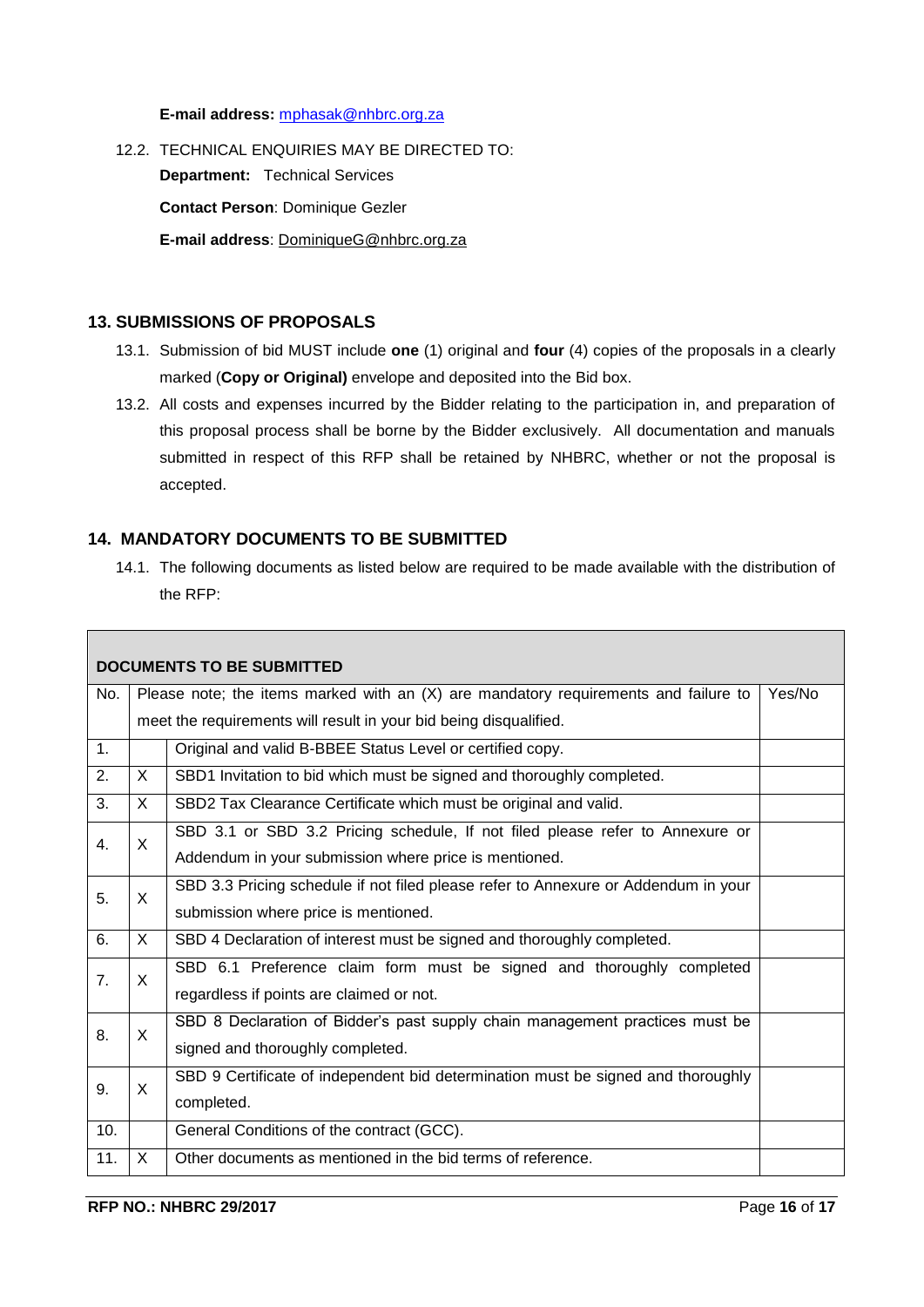**E-mail address:** [mphasak@nhbrc.org.za](mailto:mphasak@nhbrc.org.za)

12.2. TECHNICAL ENQUIRIES MAY BE DIRECTED TO: **Department:** Technical Services **Contact Person**: Dominique Gezler **E-mail address**: [DominiqueG@nhbrc.org.za](mailto:DominiqueG@nhbrc.org.za)

#### <span id="page-15-0"></span>**13. SUBMISSIONS OF PROPOSALS**

- 13.1. Submission of bid MUST include **one** (1) original and **four** (4) copies of the proposals in a clearly marked (**Copy or Original)** envelope and deposited into the Bid box.
- 13.2. All costs and expenses incurred by the Bidder relating to the participation in, and preparation of this proposal process shall be borne by the Bidder exclusively. All documentation and manuals submitted in respect of this RFP shall be retained by NHBRC, whether or not the proposal is accepted.

## **14. MANDATORY DOCUMENTS TO BE SUBMITTED**

14.1. The following documents as listed below are required to be made available with the distribution of the RFP:

|     |              | <b>DOCUMENTS TO BE SUBMITTED</b>                                                      |        |
|-----|--------------|---------------------------------------------------------------------------------------|--------|
| No. |              | Please note; the items marked with an $(X)$ are mandatory requirements and failure to | Yes/No |
|     |              | meet the requirements will result in your bid being disqualified.                     |        |
| 1.  |              | Original and valid B-BBEE Status Level or certified copy.                             |        |
| 2.  | X            | SBD1 Invitation to bid which must be signed and thoroughly completed.                 |        |
| 3.  | X            | SBD2 Tax Clearance Certificate which must be original and valid.                      |        |
| 4.  | X            | SBD 3.1 or SBD 3.2 Pricing schedule, If not filed please refer to Annexure or         |        |
|     |              | Addendum in your submission where price is mentioned.                                 |        |
| 5.  | X            | SBD 3.3 Pricing schedule if not filed please refer to Annexure or Addendum in your    |        |
|     |              | submission where price is mentioned.                                                  |        |
| 6.  | $\mathsf{X}$ | SBD 4 Declaration of interest must be signed and thoroughly completed.                |        |
| 7.  | X            | SBD 6.1 Preference claim form must be signed and thoroughly completed                 |        |
|     |              | regardless if points are claimed or not.                                              |        |
| 8.  | X            | SBD 8 Declaration of Bidder's past supply chain management practices must be          |        |
|     |              | signed and thoroughly completed.                                                      |        |
| 9.  | X            | SBD 9 Certificate of independent bid determination must be signed and thoroughly      |        |
|     |              | completed.                                                                            |        |
| 10. |              | General Conditions of the contract (GCC).                                             |        |
| 11. | X            | Other documents as mentioned in the bid terms of reference.                           |        |